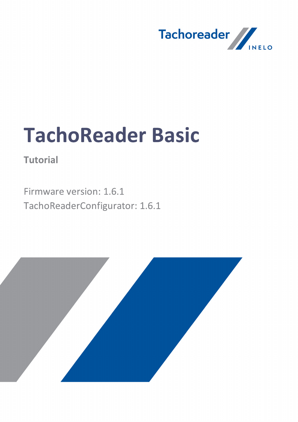

# TachoReader Basic

**Tutorial** 

Firmware version: 1.6.1 TachoReaderConfigurator: 1.6.1

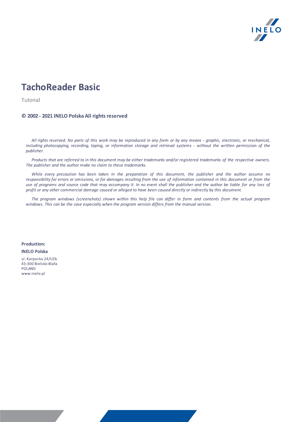

# TachoReader Basic

Tutorial

#### © 2002 - 2021 INELO Polska All rights reserved

All rights reserved. No parts of this work may be reproduced in any form or by any means - graphic, electronic, or mechanical, including photocopying, recording, taping, or information storage and retrieval systems - without the written permission of the publisher.

Products that are referred to in this document may be either trademarks and/or registered trademarks of the respective owners. The publisher and the author make no claim to these trademarks.

While every precaution has been taken in the preparation of this document, the publisher and the author assume no responsibility for errors or omissions, or for damages resulting from the use of information contained in this document or from the use of programs and source code that may accompany it. In no event shall the publisher and the author be liable for any loss of profit or any other commercial damage caused or alleged to have been caused directly or indirectly by this document.

The program windows (screenshots) shown within this help file can differ in form and contents from the actual program windows. This can be the case especially when the program version differs from the manual version.

Production: INELO Polska

ul. Karpacka 24/U2b 43-300 Bielsko-Biała POLAND www.inelo.pl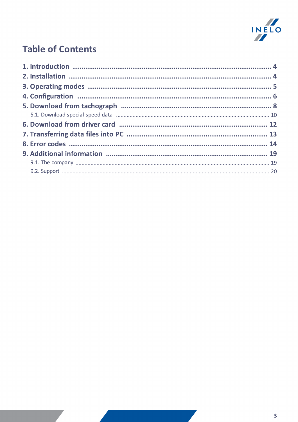

# **Table of Contents**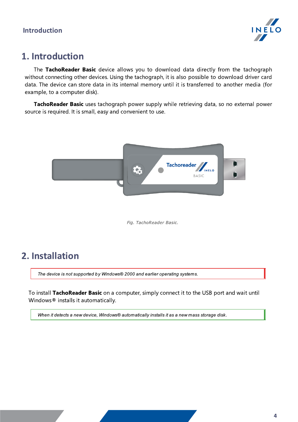

# <span id="page-3-0"></span>1. Introduction

The TachoReader Basic device allows you to download data directly from the tachograph without connecting other devices. Using the tachograph, it is also possible to download driver card data. The device can store data in its internal memory until it is transferred to another media (for example, to a computer disk).

TachoReader Basic uses tachograph power supply while retrieving data, so no external power source is required. It is small, easy and convenient to use.



Fig. TachoReader Basic.

# <span id="page-3-1"></span>2. Installation

The device is not supported by Windows® 2000 and earlier operating systems.

To install TachoReader Basic on a computer, simply connect it to the USB port and wait until Windows® installs it automatically.

When it detects a new device, Windows® automatically installs it as a new mass storage disk.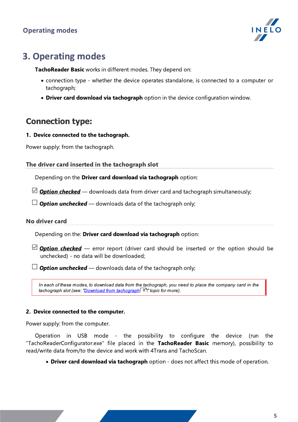

# <span id="page-4-0"></span>3. Operating modes

TachoReader Basic works in different modes. They depend on:

- · connection type whether the device operates standalone, is connected to a computer or tachograph;
- **Driver card download via tachograph** option in the device configuration window.

# Connection type:

## 1. Device connected to the tachograph.

Power supply: from the tachograph.

## The driver card inserted in the tachograph slot

Depending on the Driver card download via tachograph option:

 $\Box$  **Option checked** — downloads data from driver card and tachograph simultaneously;

 $\Box$  Option unchecked — downloads data of the tachograph only;

## No driver card

Depending on the: Driver card download via tachograph option:

 $\boxtimes$  **Option checked** — error report (driver card should be inserted or the option should be unchecked) - no data will be downloaded;

 $\Box$  Option unchecked — downloads data of the tachograph only;

In each of these modes, to download data from the tachograph, you need to place the company card in the [tachograph](#page-7-0) slot (see: "<u>Download from tachograph</u> <sup>8</sup> "topic for more).

## 2. Device connected to the computer.

Power supply: from the computer.

Operation in USB mode - the possibility to configure the device (run the "TachoReaderConfigurator.exe" file placed in the TachoReader Basic memory), possibility to read/write data from/to the device and work with 4Trans and TachoScan.

**· Driver card download via tachograph** option - does not affect this mode of operation.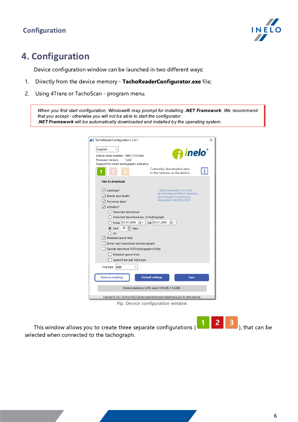## Configuration



# <span id="page-5-0"></span>4. Configuration

Device configuration window can be launched in two different ways:

- 1. Directly from the device memory TachoReaderConfigurator.exe file;
- 2. Using 4Trans or TachoScan program menu.

When you first start configuration, Windows® may prompt for installing .NET Framework. We recommend that you accept - otherwise you will not be able to start the configurator. .NET Framework will be automatically downloaded and installed by the operating system.

| R TachoReaderConfigurator v.1.6.1                                                                                                                                                                                                                                                                                                                                                                                                              | ×                                                                                                                  |
|------------------------------------------------------------------------------------------------------------------------------------------------------------------------------------------------------------------------------------------------------------------------------------------------------------------------------------------------------------------------------------------------------------------------------------------------|--------------------------------------------------------------------------------------------------------------------|
| English<br>Device serial number: TRB11170159A<br><b>Firmware version:</b><br>1.6.0<br>Support for smart tachographs activated                                                                                                                                                                                                                                                                                                                  | <b>A</b> inelo<br>Customize downloaded data                                                                        |
| <b>Files to download</b>                                                                                                                                                                                                                                                                                                                                                                                                                       | to the buttons on the device                                                                                       |
| $\vee$ Overview*<br>$\sqrt{ }$ Events and faults*<br>Technical data*<br>$\triangledown$ Activities*<br>Since last download<br>$\bigcirc$ Since last download acc. to tachograph<br>○ From: 01.01.2000 ■▼ Till: 01.01.2000 ■▼<br>$\triangleq$ days<br>28<br>C Last:<br>$()$ All<br>Detailed speed data<br>Driver card download via tachograph<br>Special data from VDO tachograph (S-file)<br>Detailed speed 4/sec<br>Speed from last 168 hours | * Data required to be read<br>by the transportation company<br>according to Commission<br>Regulation (UE) 581/2010 |
| File type<br>ddd                                                                                                                                                                                                                                                                                                                                                                                                                               |                                                                                                                    |
| <b>Remove readings</b>                                                                                                                                                                                                                                                                                                                                                                                                                         | <b>Default settings</b><br><b>Save</b><br>Device memory: 0,0% used (328 KB / 7,4 GB)                               |
|                                                                                                                                                                                                                                                                                                                                                                                                                                                | Copyright @ 2007-2019 by INELO Spolka z ograniczona odpowiedzialnoscia Sp.k. All rights reserved.                  |

Fig. Device configuration window.

This window allows you to create three separate configurations  $\begin{bmatrix} 1 & 2 & 3 \end{bmatrix}$ , that can be selected when connected to the tachograph.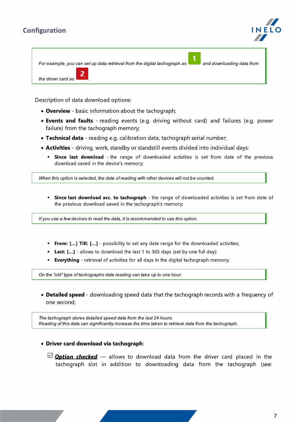## Configuration



For example, you can set up data retrieval from the digital tachograph as **and downloading data from** 



Description of data download options:

- **Overview** basic information about the tachograph;
- Events and faults reading events (e.g. driving without card) and failures (e.g. power failure) from the tachograph memory;
- · Technical data reading e.g. calibration data, tachograph serial number;
- Activities driving, work, standby or standstill events divided into individual days:
	- Since last download the range of downloaded activities is set from date of the previous download saved in the device's memory;

When this option is selected, the date of reading with other devices will not be counted.

**Since last download acc. to tachograph** - the range of downloaded activities is set from date of the previous download saved in the tachograph's memory;

If you use a few devices to read the data, it is recommended to use this option.

- **From: [...] Till: [...]** possibility to set any date range for the downloaded activities;
- **Last: [...]** allows to download the last 1 to 365 days (set by one full day);
- **Everything** retrieval of activities for all days in the digital tachograph memory;

On the "old" type of tachographs data reading can take up to one hour.

· Detailed speed - downloading speed data that the tachograph records with a frequency of one second;

The tachograph stores detailed speed data from the last 24 hours. Reading of this data can significantly increase the time taken to retrieve data from the tachograph.

- · Driver card download via tachograph:
	- $\Box$  **Option checked** allows to download data from the driver card placed in the tachograph slot in addition to downloading data from the tachograph (see: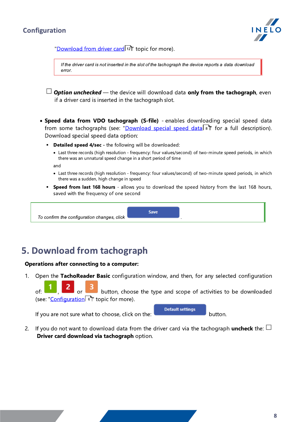



"<u>Download from driver card</u>|12]" topic for more).

If the driver card is not inserted in the slot of the tachograph the device reports a data download error.

 $\Box$  Option unchecked — the device will download data only from the tachograph, even if a driver card is inserted in the tachograph slot.

· Speed data from VDO tachograph (S-file) - enables downloading special speed data from some tachographs (see: "<u>[Download](#page-7-0) special speed data</u>l。T" for a full description). Download special speed data option:

- **Detailed speed 4/sec -** the following will be downloaded:
	- · Last three records (high resolution frequency: four values/second) of two-minute speed periods, in which there was an unnatural speed change in a short period of time

and

- · Last three records (high resolution frequency: four values/second) of two-minute speed periods, in which there was a sudden, high change in speed
- **Speed from last 168 hours** allows you to download the speed history from the last 168 hours, saved with the frequency of one second

Save

To confirm the configuration changes, click .

# <span id="page-7-0"></span>5. Download from tachograph

#### Operations after connecting to a computer:

1. Open the TachoReader Basic configuration window, and then, for any selected configuration

2 or <sup>3</sup> button, choose the type and scope of activities to be downloaded (see: "<u>[Configuration](#page-5-0)</u>| <sup>ह</sup>ो" topic for more).

If you are not sure what to choose, click on the:  $\Box$ 

**Default settings** 

2. If you do not want to download data from the driver card via the tachograph uncheck the:  $\Box$ Driver card download via tachograph option.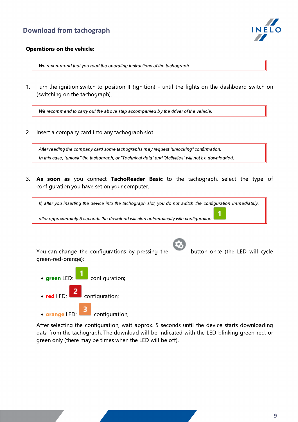

## Operations on the vehicle:

We recommend that you read the operating instructions of the tachograph.

1. Turn the ignition switch to position II (ignition) - until the lights on the dashboard switch on (switching on the tachograph).

We recommend to carry out the above step accompanied by the driver of the vehicle.

2. Insert a company card into any tachograph slot.

After reading the company card some tachographs may request "unlocking" confirmation. In this case, "unlock" the tachograph, or "Technical data" and "Activities" will not be downloaded.

3. As soon as you connect TachoReader Basic to the tachograph, select the type of configuration you have set on your computer.

If, after you inserting the device into the tachograph slot, you do not switch the configuration immediately,

after approximately 5 seconds the download will start automatically with configuration .

You can change the configurations by pressing the button once (the LED will cycle green-red-orange):

After selecting the configuration, wait approx. 5 seconds until the device starts downloading data from the tachograph. The download will be indicated with the LED blinking green-red, or

• areen LED:  $\Box$  configuration; · red LED:  $\overline{\mathbf{r}}$  configuration; • orange LED: configuration;

green only (there may be times when the LED will be off).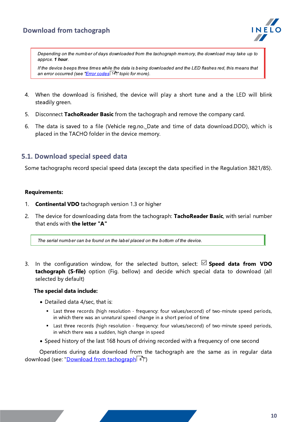## Download from tachograph



Depending on the number of days downloaded from the tachograph memory, the download may take up to approx. 1 hour.

If the device beeps three times while the data is being downloaded and the LED flashes red, this means that an error occurred (see "<u>Error [codes](#page-13-0)</u> 14" topic for more).

- 4. When the download is finished, the device will play a short tune and a the LED will blink steadily green.
- 5. Disconnect TachoReader Basic from the tachograph and remove the company card.
- 6. The data is saved to a file (Vehicle reg.no.\_Date and time of data download.DDD), which is placed in the TACHO folder in the device memory.

## <span id="page-9-0"></span>5.1. Download special speed data

Some tachographs record special speed data (except the data specified in the Regulation 3821/85).

#### Requirements:

- 1. Continental VDO tachograph version 1.3 or higher
- 2. The device for downloading data from the tachograph: TachoReader Basic, with serial number that ends with the letter "A"

The serial number can be found on the label placed on the bottom of the device.

3. In the configuration window, for the selected button, select:  $\Box$  Speed data from VDO tachograph (S-file) option (Fig. bellow) and decide which special data to download (all selected by default)

#### The special data include:

- · Detailed data 4/sec, that is:
	- Last three records (high resolution frequency: four values/second) of two-minute speed periods, in which there was an unnatural speed change in a short period of time
	- Last three records (high resolution frequency: four values/second) of two-minute speed periods, in which there was a sudden, high change in speed
- · Speed history of the last 168 hours of driving recorded with a frequency of one second

Operations during data download from the tachograph are the same as in regular data download (see: "<u>Download from [tachograph](#page-7-0)</u>। <sup>ह</sup>ीं)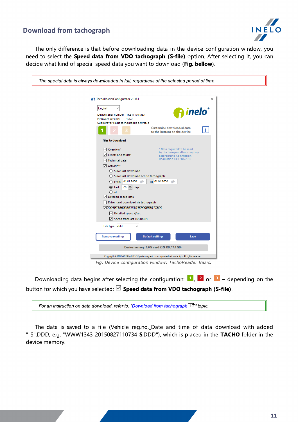## Download from tachograph



The only difference is that before downloading data in the device configuration window, you need to select the Speed data from VDO tachograph (S-file) option. After selecting it, you can decide what kind of special speed data you want to download (Fig. bellow).

| The special data is always downloaded in full, regardless of the selected period of time.                                                                                                                                                |
|------------------------------------------------------------------------------------------------------------------------------------------------------------------------------------------------------------------------------------------|
|                                                                                                                                                                                                                                          |
| R TachoReaderConfigurator v.1.6.1<br>×                                                                                                                                                                                                   |
| English<br><u>inelo°</u><br>Device serial number: TRB11170159A<br><b>Firmware version:</b><br>1.6.0<br>Support for smart tachographs activated<br>Customize downloaded data                                                              |
| T.<br>to the buttons on the device                                                                                                                                                                                                       |
| <b>Files to download</b>                                                                                                                                                                                                                 |
| $\vee$ Overview*<br>* Data required to be read<br>by the transportation company<br>$\vee$ Events and faults*<br>according to Commission<br>Regulation (UE) 581/2010<br>Technical data*<br>$\sqrt{}$ Activities*<br>Since last download   |
| $\bigcirc$ Since last download acc. to tachograph<br>Till: 01.01.2000 圖▼<br>$\bigcirc$ From: 01.01.2000 $\blacksquare$ $\blacktriangleright$<br>$\circledcirc$ Last: $28$ $\bullet$ days<br>$\bigcirc$ All<br>$\vee$ Detailed speed data |
| Driver card download via tachograph                                                                                                                                                                                                      |
| Special data from VDO tachograph (S-file)<br>$\vee$ Detailed speed 4/sec                                                                                                                                                                 |
| Speed from last 168 hours                                                                                                                                                                                                                |
| File type ddd<br><b>Remove readings</b><br><b>Default settings</b><br>Save                                                                                                                                                               |
| Device memory: 0,0% used (328 KB / 7,4 GB)                                                                                                                                                                                               |
| Copyright @ 2007-2019 by INELO Spolka z ograniczona odpowiedzialnoscia Sp.k. All rights reserved.                                                                                                                                        |
| Fig. Device configuration window: TachoReader Basic.                                                                                                                                                                                     |

Downloading data begins after selecting the configuration:  $\begin{bmatrix} 1 \\ 1 \end{bmatrix}$ ,  $\begin{bmatrix} 2 \\ 0 \end{bmatrix}$  or  $\begin{bmatrix} 3 \\ 3 \end{bmatrix}$  – depending on the button for which you have selected:  $\boxdot$  Speed data from VDO tachograph (S-file).

For an instruction on data download, refer to: "<u>Download from [tachograph](#page-9-0)</u> गणे" topic.

The data is saved to a file (Vehicle reg.no. Date and time of data download with added "\_S".DDD, e.g. "WWW1343\_20150827110734\_S.DDD"), which is placed in the TACHO folder in the device memory.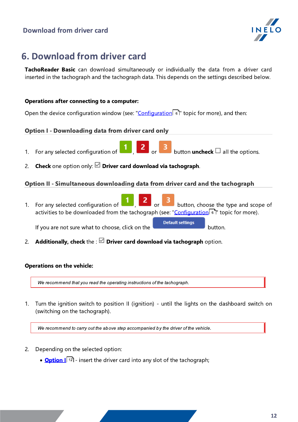## Download from driver card

<span id="page-11-2"></span><span id="page-11-1"></span>

# <span id="page-11-0"></span>6. Download from driver card

TachoReader Basic can download simultaneously or individually the data from a driver card inserted in the tachograph and the tachograph data. This depends on the settings described below.

## Operations after connecting to a computer:

Open the device configuration window (see: "<u>Configuration</u>| 6]" topic for more), and then:

## Option I - Downloading data from driver card only

- 1. For any selected configuration of  $\Box$ ,  $\Box$  or  $\Box$  button uncheck  $\Box$  all the options.
- 2. Check one option only:  $\Box$  Driver card download via tachograph.

## Option II - Simultaneous downloading data from driver card and the tachograph

1. For any selected configuration of  $\begin{array}{|c|c|c|c|c|c|}\n\hline\n1 & 2 & \text{or} & 3 \\
\hline\n\end{array}$  button, choose the type and scope of activities to be downloaded from the tachograph (see: "<u>[Configuration](#page-5-0)</u>| ६ l" topic for more). **Default settings** 

If you are not sure what to choose, click on the **button** button.

2. Additionally, check the :  $\boxtimes$  Driver card download via tachograph option.

#### Operations on the vehicle:

We recommend that you read the operating instructions of the tachograph.

1. Turn the ignition switch to position II (ignition) - until the lights on the dashboard switch on (switching on the tachograph).

We recommend to carry out the above step accompanied by the driver of the vehicle.

- 2. Depending on the selected option:
	- **[Option](#page-11-1) I**<sup>[12]</sup> insert the driver card into any slot of the tachograph;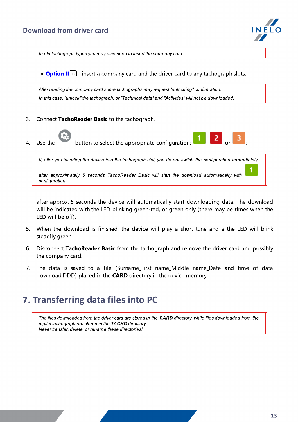

In old tachograph types you may also need to insert the company card.

• **[Option](#page-11-2) II**<sup>12</sup> - insert a company card and the driver card to any tachograph slots;

After reading the company card some tachographs may request "unlocking" confirmation. In this case, "unlock" the tachograph, or "Technical data" and "Activities" will not be downloaded.

- 3. Connect TachoReader Basic to the tachograph.
	-

4. Use the button to select the appropriate configuration:  $\begin{bmatrix} 1 \end{bmatrix}$  2

If, after you inserting the device into the tachograph slot, you do not switch the configuration immediately,

after approximately 5 seconds TachoReader Basic will start the download automatically with configuration.

after approx. 5 seconds the device will automatically start downloading data. The download will be indicated with the LED blinking green-red, or green only (there may be times when the LED will be off).

- 5. When the download is finished, the device will play a short tune and a the LED will blink steadily green.
- 6. Disconnect TachoReader Basic from the tachograph and remove the driver card and possibly the company card.
- 7. The data is saved to a file (Surname First name Middle name Date and time of data download.DDD) placed in the CARD directory in the device memory.

# <span id="page-12-0"></span>7. Transferring data files into PC

The files downloaded from the driver card are stored in the CARD directory, while files downloaded from the digital tachograph are stored in the **TACHO** directory. Never transfer, delete, or rename these directories!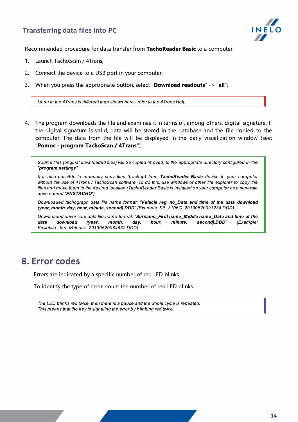## Transferring data files into PC



Recommended procedure for data transfer from TachoReader Basic to a computer:

- 1. Launch TachoScan / 4Trans;
- 2. Connect the device to a USB port in your computer;
- 3. When you press the appropriate button, select "**Download readouts**"  $\rightarrow$  "all";

Menu in the 4Trans is different than shown here - refer to the 4Trans Help.

4. The program downloads the file and examines it in terms of, among others. digital signature. If the digital signature is valid, data will be stored in the database and the file copied to the computer. The data from the file will be displayed in the daily visualization window (see: "Pomoc - program TachoScan / 4Trans").

Source files (original downloaded files) will be copied (moved) to the appropriate directory configured in the "program settings".

It is also possible to manually copy files (backup) from TachoReader Basic device to your computer without the use of 4Trans / TachoScan software. To do this, use windows or other file explorer to copy the files and move them to the desired location (TachoReader Basic is installed on your computer as a separate drive named "PNSTACHO").

Downloaded tachograph data file name format: "Vehicle reg. no Date and time of the data download (year, month, day, hour, minute, second).DDD" (Example: SB\_3106G\_20130520091234.DDD).

Downloaded driver card data file name format: "Surname First name Middle name Date and time of the data download (year, month, day, hour, minute, second).DDD" (Example: Kowalski\_Jan\_Mateusz\_20130520084432.DDD).

# <span id="page-13-0"></span>8. Error codes

Errors are indicated by a specific number of red LED blinks.

To identify the type of error, count the number of red LED blinks.

The LED blinks red twice, then there is a pause and the whole cycle is repeated. This means that the key is signaling the error by blinking red twice.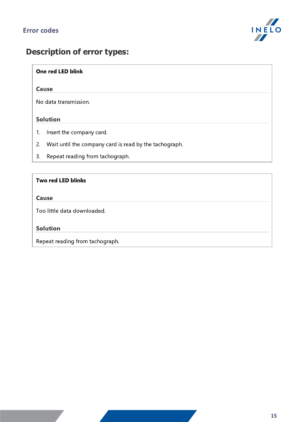

# Description of error types:

## One red LED blink

## Cause

No data transmission.

## Solution

- 1. Insert the company card.
- 2. Wait until the company card is read by the tachograph.
- 3. Repeat reading from tachograph.

## Two red LED blinks

## Cause

Too little data downloaded.

## Solution

Repeat reading from tachograph.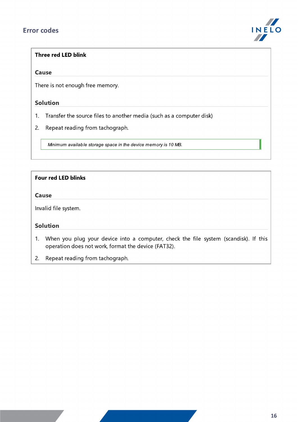## Error codes



## Three red LED blink

#### **Cause**

There is not enough free memory.

## Solution

- 1. Transfer the source files to another media (such as a computer disk)
- 2. Repeat reading from tachograph.

Minimum available storage space in the device memory is 10 MB.

## Four red LED blinks

#### Cause

Invalid file system.

## Solution

1. When you plug your device into a computer, check the file system (scandisk). If this operation does not work, format the device (FAT32).

2. Repeat reading from tachograph.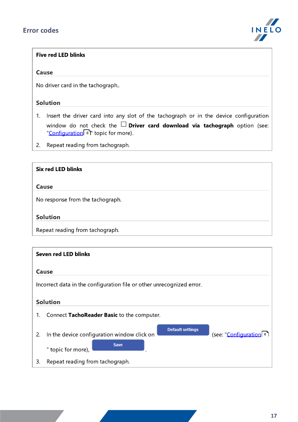

## Five red LED blinks

#### Cause

No driver card in the tachograph..

## **Solution**

- 1. Insert the driver card into any slot of the tachograph or in the device configuration window do not check the  $\Box$  Driver card download via tachograph option (see: "<u>[Configuration](#page-5-0)</u>| ်ီ၊" topic for more).
- 2. Repeat reading from tachograph.

## Six red LED blinks

#### Cause

No response from the tachograph.

### Solution

Repeat reading from tachograph.

|                                                                       | <b>Seven red LED blinks</b>                                                                                                     |  |
|-----------------------------------------------------------------------|---------------------------------------------------------------------------------------------------------------------------------|--|
|                                                                       | Cause                                                                                                                           |  |
| Incorrect data in the configuration file or other unrecognized error. |                                                                                                                                 |  |
|                                                                       | <b>Solution</b>                                                                                                                 |  |
| 1.                                                                    | Connect TachoReader Basic to the computer.                                                                                      |  |
| 2.                                                                    | <b>Default settings</b><br>(see: "Configuration 6)<br>In the device configuration window click on<br>Save<br>" topic for more), |  |
| 3.                                                                    | Repeat reading from tachograph.                                                                                                 |  |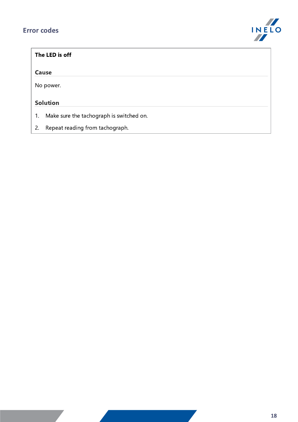## Error codes



| The LED is off  |                                          |  |  |
|-----------------|------------------------------------------|--|--|
|                 | Cause                                    |  |  |
|                 | No power.                                |  |  |
| <b>Solution</b> |                                          |  |  |
| 1.              | Make sure the tachograph is switched on. |  |  |

2. Repeat reading from tachograph.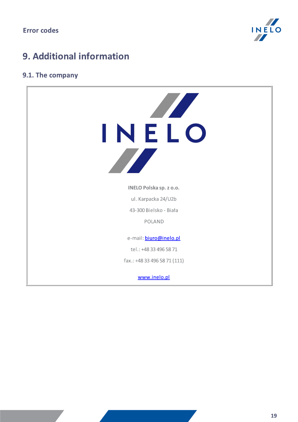

# <span id="page-18-0"></span>9. Additional information

## 9.1. The company

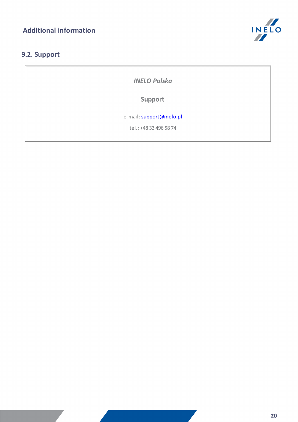

## <span id="page-19-0"></span>9.2. Support

INELO Polska

Support

e-mail: **[support@inelo.pl](mailto:support@inelo.pl)** 

tel.: +48 33 496 58 74